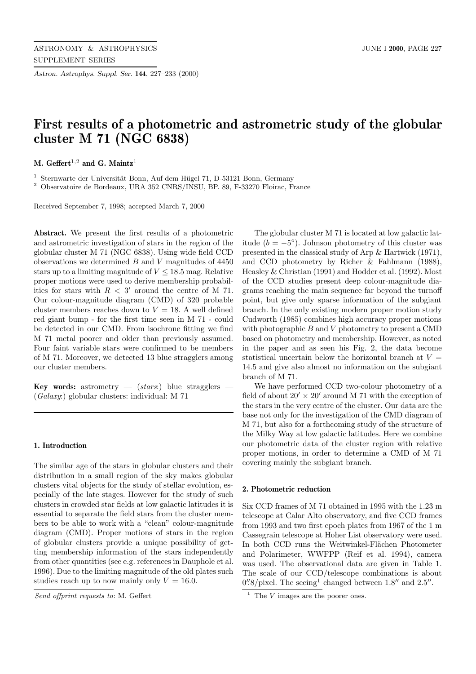*Astron. Astrophys. Suppl. Ser.* **144**, 227–233 (2000)

# **First results of a photometric and astrometric study of the globular cluster M 71 (NGC 6838)**

**M. Geffert**<sup>1</sup>,<sup>2</sup> **and G. Maintz**<sup>1</sup>

 $1$  Sternwarte der Universität Bonn, Auf dem Hügel 71, D-53121 Bonn, Germany

<sup>2</sup> Observatoire de Bordeaux, URA 352 CNRS/INSU, BP. 89, F-33270 Floirac, France

Received September 7, 1998; accepted March 7, 2000

**Abstract.** We present the first results of a photometric and astrometric investigation of stars in the region of the globular cluster M 71 (NGC 6838). Using wide field CCD observations we determined B and V magnitudes of 4450 stars up to a limiting magnitude of  $V \leq 18.5$  mag. Relative proper motions were used to derive membership probabilities for stars with  $R < 3'$  around the centre of M 71. Our colour-magnitude diagram (CMD) of 320 probable cluster members reaches down to  $V = 18$ . A well defined red giant bump - for the first time seen in M 71 - could be detected in our CMD. From isochrone fitting we find M 71 metal poorer and older than previously assumed. Four faint variable stars were confirmed to be members of M 71. Moreover, we detected 13 blue stragglers among our cluster members.

**Key words:** astrometry — (stars:) blue stragglers — (Galaxy:) globular clusters: individual: M 71

## **1. Introduction**

The similar age of the stars in globular clusters and their distribution in a small region of the sky makes globular clusters vital objects for the study of stellar evolution, especially of the late stages. However for the study of such clusters in crowded star fields at low galactic latitudes it is essential to separate the field stars from the cluster members to be able to work with a "clean" colour-magnitude diagram (CMD). Proper motions of stars in the region of globular clusters provide a unique possibility of getting membership information of the stars independently from other quantities (see e.g. references in Dauphole et al. 1996). Due to the limiting magnitude of the old plates such studies reach up to now mainly only  $V = 16.0$ .

The globular cluster M 71 is located at low galactic latitude ( $b = -5^\circ$ ). Johnson photometry of this cluster was presented in the classical study of Arp & Hartwick (1971), and CCD photometry by Richer & Fahlmann (1988), Heasley & Christian (1991) and Hodder et al. (1992). Most of the CCD studies present deep colour-magnitude diagrams reaching the main sequence far beyond the turnoff point, but give only sparse information of the subgiant branch. In the only existing modern proper motion study Cudworth (1985) combines high accuracy proper motions with photographic  $B$  and  $V$  photometry to present a CMD based on photometry and membership. However, as noted in the paper and as seen his Fig. 2, the data become statistical uncertain below the horizontal branch at  $V =$ 14.5 and give also almost no information on the subgiant branch of M 71.

We have performed CCD two-colour photometry of a field of about  $20' \times 20'$  around M 71 with the exception of the stars in the very centre of the cluster. Our data are the base not only for the investigation of the CMD diagram of M 71, but also for a forthcoming study of the structure of the Milky Way at low galactic latitudes. Here we combine our photometric data of the cluster region with relative proper motions, in order to determine a CMD of M 71 covering mainly the subgiant branch.

#### **2. Photometric reduction**

Six CCD frames of M 71 obtained in 1995 with the 1.23 m telescope at Calar Alto observatory, and five CCD frames from 1993 and two first epoch plates from 1967 of the 1 m Cassegrain telescope at Hoher List observatory were used. In both CCD runs the Weitwinkel-Flächen Photometer and Polarimeter, WWFPP (Reif et al. 1994), camera was used. The observational data are given in Table 1. The scale of our CCD/telescope combinations is about  $0\rlap{.}^{\prime\prime}8/\text{pixel}$ . The seeing<sup>1</sup> changed between 1.8<sup> $\prime\prime$ </sup> and 2.5 $\prime\prime$ .

Send offprint requests to: M. Geffert

 $\frac{1}{1}$  The *V* images are the poorer ones.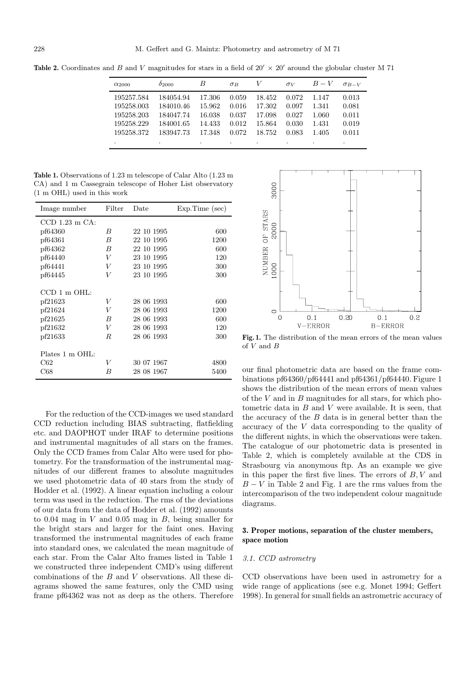**Table 2.** Coordinates and B and V magnitudes for stars in a field of  $20' \times 20'$  around the globular cluster M 71

| $\alpha_{2000}$ | $\delta_{2000}$ | B      | $\sigma_B$ | V      | $\sigma_V$ | $B-V$ | $\sigma_{B-V}$ |
|-----------------|-----------------|--------|------------|--------|------------|-------|----------------|
| 195257.584      | 184054.94       | 17.306 | 0.059      | 18.452 | 0.072      | 1.147 | 0.013          |
| 195258.003      | 184010.46       | 15.962 | 0.016      | 17.302 | 0.097      | 1.341 | 0.081          |
| 195258.203      | 184047.74       | 16.038 | 0.037      | 17.098 | 0.027      | 1.060 | 0.011          |
| 195258.229      | 184001.65       | 14.433 | 0.012      | 15.864 | 0.030      | 1.431 | 0.019          |
| 195258.372      | 183947.73       | 17.348 | 0.072      | 18.752 | 0.083      | 1.405 | 0.011          |
| $\bullet$       |                 | ٠      | ۰          | ٠      | $\cdot$    | ٠     | ٠              |

**Table 1.** Observations of 1.23 m telescope of Calar Alto (1.23 m CA) and 1 m Cassegrain telescope of Hoher List observatory (1 m OHL) used in this work

| Image number        | Filter | Date       | $Exp-Time (sec)$ |
|---------------------|--------|------------|------------------|
| $CCD$ 1.23 m $CA$ : |        |            |                  |
| pf64360             | B      | 22 10 1995 | 600              |
| pf64361             | B      | 22 10 1995 | 1200             |
| pf64362             | B      | 22 10 1995 | 600              |
| pf64440             | V      | 23 10 1995 | 120              |
| pf64441             | V      | 23 10 1995 | 300              |
| pf64445             | V      | 23 10 1995 | 300              |
| CCD 1 m OHL:        |        |            |                  |
| pf21623             | V      | 28 06 1993 | 600              |
| pf21624             | V      | 28 06 1993 | 1200             |
| pf21625             | B      | 28 06 1993 | 600              |
| pf21632             | V      | 28 06 1993 | 120              |
| pf21633             | R.     | 28 06 1993 | 300              |
| Plates 1 m OHL:     |        |            |                  |
| C62                 | V      | 30 07 1967 | 4800             |
| C68                 | B      | 28 08 1967 | 5400             |

For the reduction of the CCD-images we used standard CCD reduction including BIAS subtracting, flatfielding etc. and DAOPHOT under IRAF to determine positions and instrumental magnitudes of all stars on the frames. Only the CCD frames from Calar Alto were used for photometry. For the transformation of the instrumental magnitudes of our different frames to absolute magnitudes we used photometric data of 40 stars from the study of Hodder et al. (1992). A linear equation including a colour term was used in the reduction. The rms of the deviations of our data from the data of Hodder et al. (1992) amounts to 0.04 mag in V and 0.05 mag in B, being smaller for the bright stars and larger for the faint ones. Having transformed the instrumental magnitudes of each frame into standard ones, we calculated the mean magnitude of each star. From the Calar Alto frames listed in Table 1 we constructed three independent CMD's using different combinations of the B and V observations. All these diagrams showed the same features, only the CMD using frame pf64362 was not as deep as the others. Therefore



**Fig. 1.** The distribution of the mean errors of the mean values of V and B

our final photometric data are based on the frame combinations pf64360/pf64441 and pf64361/pf64440. Figure 1 shows the distribution of the mean errors of mean values of the  $V$  and in  $B$  magnitudes for all stars, for which photometric data in  $B$  and  $V$  were available. It is seen, that the accuracy of the  $B$  data is in general better than the accuracy of the V data corresponding to the quality of the different nights, in which the observations were taken. The catalogue of our photometric data is presented in Table 2, which is completely available at the CDS in Strasbourg via anonymous ftp. As an example we give in this paper the first five lines. The errors of  $B, V$  and  $B - V$  in Table 2 and Fig. 1 are the rms values from the intercomparison of the two independent colour magnitude diagrams.

# **3. Proper motions, separation of the cluster members, space motion**

#### 3.1. CCD astrometry

CCD observations have been used in astrometry for a wide range of applications (see e.g. Monet 1994; Geffert 1998). In general for small fields an astrometric accuracy of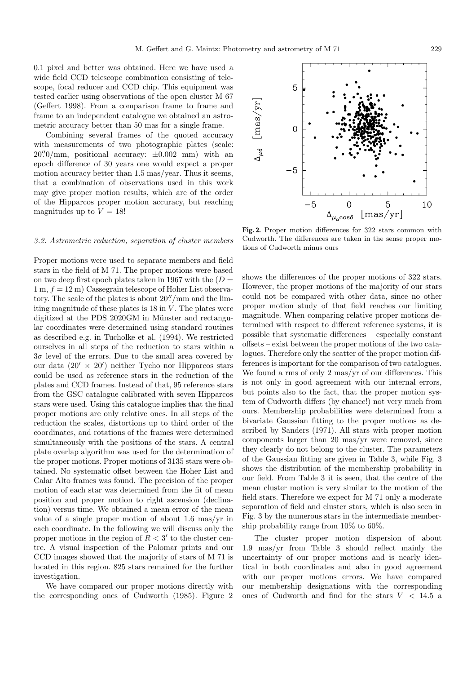0.1 pixel and better was obtained. Here we have used a wide field CCD telescope combination consisting of telescope, focal reducer and CCD chip. This equipment was tested earlier using observations of the open cluster M 67 (Geffert 1998). From a comparison frame to frame and frame to an independent catalogue we obtained an astrometric accuracy better than 50 mas for a single frame.

Combining several frames of the quoted accuracy with measurements of two photographic plates (scale:  $20\degree/0$ /mm, positional accuracy:  $\pm 0.002$  mm) with an epoch difference of 30 years one would expect a proper motion accuracy better than 1.5 mas/year. Thus it seems, that a combination of observations used in this work may give proper motion results, which are of the order of the Hipparcos proper motion accuracy, but reaching magnitudes up to  $V = 18!$ 

# 3.2. Astrometric reduction, separation of cluster members

Proper motions were used to separate members and field stars in the field of M 71. The proper motions were based on two deep first epoch plates taken in 1967 with the  $(D =$  $1 m, f = 12 m$  Cassegrain telescope of Hoher List observatory. The scale of the plates is about  $20''/\text{mm}$  and the limiting magnitude of these plates is  $18$  in  $V$ . The plates were digitized at the PDS 2020GM in Münster and rectangular coordinates were determined using standard routines as described e.g. in Tucholke et al. (1994). We restricted ourselves in all steps of the reduction to stars within a  $3\sigma$  level of the errors. Due to the small area covered by our data  $(20' \times 20')$  neither Tycho nor Hipparcos stars could be used as reference stars in the reduction of the plates and CCD frames. Instead of that, 95 reference stars from the GSC catalogue calibrated with seven Hipparcos stars were used. Using this catalogue implies that the final proper motions are only relative ones. In all steps of the reduction the scales, distortions up to third order of the coordinates, and rotations of the frames were determined simultaneously with the positions of the stars. A central plate overlap algorithm was used for the determination of the proper motions. Proper motions of 3135 stars were obtained. No systematic offset between the Hoher List and Calar Alto frames was found. The precision of the proper motion of each star was determined from the fit of mean position and proper motion to right ascension (declination) versus time. We obtained a mean error of the mean value of a single proper motion of about 1.6 mas/yr in each coordinate. In the following we will discuss only the proper motions in the region of  $R < 3'$  to the cluster centre. A visual inspection of the Palomar prints and our CCD images showed that the majority of stars of M 71 is located in this region. 825 stars remained for the further investigation.

We have compared our proper motions directly with the corresponding ones of Cudworth (1985). Figure 2

**Fig. 2.** Proper motion differences for 322 stars common with Cudworth. The differences are taken in the sense proper motions of Cudworth minus ours

shows the differences of the proper motions of 322 stars. However, the proper motions of the majority of our stars could not be compared with other data, since no other proper motion study of that field reaches our limiting magnitude. When comparing relative proper motions determined with respect to different reference systems, it is possible that systematic differences – especially constant offsets – exist between the proper motions of the two catalogues. Therefore only the scatter of the proper motion differences is important for the comparison of two catalogues. We found a rms of only 2 mas/yr of our differences. This is not only in good agreement with our internal errors, but points also to the fact, that the proper motion system of Cudworth differs (by chance!) not very much from ours. Membership probabilities were determined from a bivariate Gaussian fitting to the proper motions as described by Sanders (1971). All stars with proper motion components larger than 20 mas/yr were removed, since they clearly do not belong to the cluster. The parameters of the Gaussian fitting are given in Table 3, while Fig. 3 shows the distribution of the membership probability in our field. From Table 3 it is seen, that the centre of the mean cluster motion is very similar to the motion of the field stars. Therefore we expect for M 71 only a moderate separation of field and cluster stars, which is also seen in Fig. 3 by the numerous stars in the intermediate membership probability range from 10% to 60%.

The cluster proper motion dispersion of about 1.9 mas/yr from Table 3 should reflect mainly the uncertainty of our proper motions and is nearly identical in both coordinates and also in good agreement with our proper motions errors. We have compared our membership designations with the corresponding ones of Cudworth and find for the stars  $V < 14.5$  a

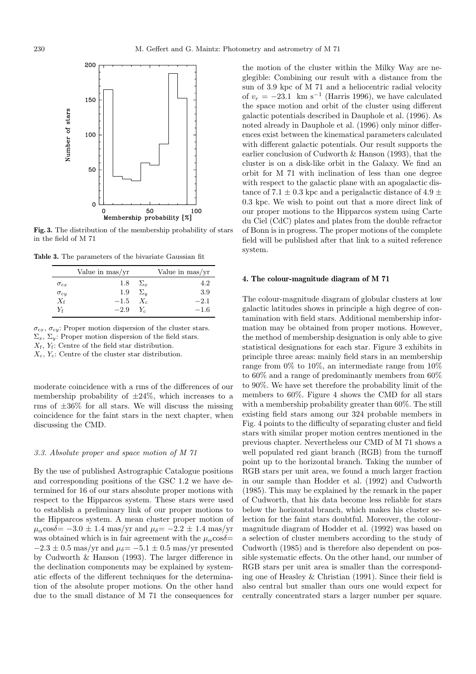

**Fig. 3.** The distribution of the membership probability of stars in the field of M 71

**Table 3.** The parameters of the bivariate Gaussian fit

|               | Value in mas/yr       |                | Value in mas/yr |
|---------------|-----------------------|----------------|-----------------|
| $\sigma_{cx}$ |                       | $1.8 \Sigma_r$ | 4.2             |
| $\sigma_{cy}$ | $1.9 \Sigma_u$        |                | 3.9             |
| $X_{\sf f}$   | $-1.5$ X <sub>c</sub> |                | $-2.1$          |
| Y¢            | $-2.9$ $Y_c$          |                | $-1.6$          |
|               |                       |                |                 |

 $\sigma_{cx}, \sigma_{cy}$ : Proper motion dispersion of the cluster stars.  $\Sigma_x$ ,  $\Sigma_y$ : Proper motion dispersion of the field stars.

 $X_f$ ,  $Y_f$ : Centre of the field star distribution.

 $X_c, Y_c$ : Centre of the cluster star distribution.

moderate coincidence with a rms of the differences of our membership probability of  $\pm 24\%$ , which increases to a rms of  $\pm 36\%$  for all stars. We will discuss the missing coincidence for the faint stars in the next chapter, when discussing the CMD.

## 3.3. Absolute proper and space motion of M 71

By the use of published Astrographic Catalogue positions and corresponding positions of the GSC 1.2 we have determined for 16 of our stars absolute proper motions with respect to the Hipparcos system. These stars were used to establish a preliminary link of our proper motions to the Hipparcos system. A mean cluster proper motion of  $\mu_{\alpha}$ cos $\delta$ = -3.0 ± 1.4 mas/yr and  $\mu_{\delta}$ = -2.2 ± 1.4 mas/yr was obtained which is in fair agreement with the  $\mu_{\alpha}$ cos $\delta=$  $-2.3 \pm 0.5$  mas/yr and  $\mu_{\delta} = -5.1 \pm 0.5$  mas/yr presented by Cudworth & Hanson (1993). The larger difference in the declination components may be explained by systematic effects of the different techniques for the determination of the absolute proper motions. On the other hand due to the small distance of M 71 the consequences for

the motion of the cluster within the Milky Way are neglegible: Combining our result with a distance from the sun of 3.9 kpc of M 71 and a heliocentric radial velocity of  $v_r = -23.1$  km s<sup>-1</sup> (Harris 1996), we have calculated the space motion and orbit of the cluster using different galactic potentials described in Dauphole et al. (1996). As noted already in Dauphole et al. (1996) only minor differences exist between the kinematical parameters calculated with different galactic potentials. Our result supports the earlier conclusion of Cudworth & Hanson (1993), that the cluster is on a disk-like orbit in the Galaxy. We find an orbit for M 71 with inclination of less than one degree with respect to the galactic plane with an apogalactic distance of 7.1  $\pm$  0.3 kpc and a perigalactic distance of 4.9  $\pm$ 0.3 kpc. We wish to point out that a more direct link of our proper motions to the Hipparcos system using Carte du Ciel (CdC) plates and plates from the double refractor of Bonn is in progress. The proper motions of the complete field will be published after that link to a suited reference system.

#### **4. The colour-magnitude diagram of M 71**

The colour-magnitude diagram of globular clusters at low galactic latitudes shows in principle a high degree of contamination with field stars. Additional membership information may be obtained from proper motions. However, the method of membership designation is only able to give statistical designations for each star. Figure 3 exhibits in principle three areas: mainly field stars in an membership range from 0% to 10%, an intermediate range from 10% to 60% and a range of predominantly members from 60% to 90%. We have set therefore the probability limit of the members to 60%. Figure 4 shows the CMD for all stars with a membership probability greater than 60%. The still existing field stars among our 324 probable members in Fig. 4 points to the difficulty of separating cluster and field stars with similar proper motion centres mentioned in the previous chapter. Nevertheless our CMD of M 71 shows a well populated red giant branch (RGB) from the turnoff point up to the horizontal branch. Taking the number of RGB stars per unit area, we found a much larger fraction in our sample than Hodder et al. (1992) and Cudworth (1985). This may be explained by the remark in the paper of Cudworth, that his data become less reliable for stars below the horizontal branch, which makes his cluster selection for the faint stars doubtful. Moreover, the colourmagnitude diagram of Hodder et al. (1992) was based on a selection of cluster members according to the study of Cudworth (1985) and is therefore also dependent on possible systematic effects. On the other hand, our number of RGB stars per unit area is smaller than the corresponding one of Heasley & Christian (1991). Since their field is also central but smaller than ours one would expect for centrally concentrated stars a larger number per square.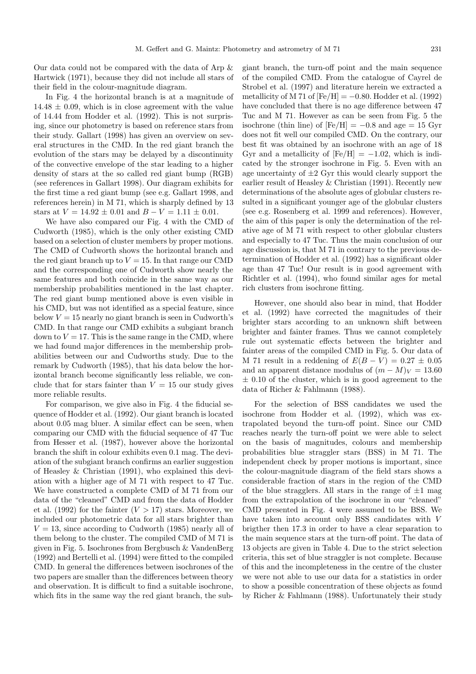Our data could not be compared with the data of Arp & Hartwick (1971), because they did not include all stars of their field in the colour-magnitude diagram.

In Fig. 4 the horizontal branch is at a magnitude of  $14.48 \pm 0.09$ , which is in close agreement with the value of 14.44 from Hodder et al. (1992). This is not surprising, since our photometry is based on reference stars from their study. Gallart (1998) has given an overview on several structures in the CMD. In the red giant branch the evolution of the stars may be delayed by a discontinuity of the convective envelope of the star leading to a higher density of stars at the so called red giant bump (RGB) (see references in Gallart 1998). Our diagram exhibits for the first time a red giant bump (see e.g. Gallart 1998, and references herein) in M 71, which is sharply defined by 13 stars at  $V = 14.92 \pm 0.01$  and  $B - V = 1.11 \pm 0.01$ .

We have also compared our Fig. 4 with the CMD of Cudworth (1985), which is the only other existing CMD based on a selection of cluster members by proper motions. The CMD of Cudworth shows the horizontal branch and the red giant branch up to  $V = 15$ . In that range our CMD and the corresponding one of Cudworth show nearly the same features and both coincide in the same way as our membership probabilities mentioned in the last chapter. The red giant bump mentioned above is even visible in his CMD, but was not identified as a special feature, since below  $V = 15$  nearly no giant branch is seen in Cudworth's CMD. In that range our CMD exhibits a subgiant branch down to  $V = 17$ . This is the same range in the CMD, where we had found major differences in the membership probabilities between our and Cudworths study. Due to the remark by Cudworth (1985), that his data below the horizontal branch become significantly less reliable, we conclude that for stars fainter than  $V = 15$  our study gives more reliable results.

For comparison, we give also in Fig. 4 the fiducial sequence of Hodder et al. (1992). Our giant branch is located about 0.05 mag bluer. A similar effect can be seen, when comparing our CMD with the fiducial sequence of 47 Tuc from Hesser et al. (1987), however above the horizontal branch the shift in colour exhibits even 0.1 mag. The deviation of the subgiant branch confirms an earlier suggestion of Heasley & Christian (1991), who explained this deviation with a higher age of M 71 with respect to 47 Tuc. We have constructed a complete CMD of M 71 from our data of the "cleaned" CMD and from the data of Hodder et al. (1992) for the fainter  $(V > 17)$  stars. Moreover, we included our photometric data for all stars brighter than  $V = 13$ , since according to Cudworth (1985) nearly all of them belong to the cluster. The compiled CMD of M 71 is given in Fig. 5. Isochrones from Bergbusch & VandenBerg (1992) and Bertelli et al. (1994) were fitted to the compiled CMD. In general the differences between isochrones of the two papers are smaller than the differences between theory and observation. It is difficult to find a suitable isochrone, which fits in the same way the red giant branch, the subgiant branch, the turn-off point and the main sequence of the compiled CMD. From the catalogue of Cayrel de Strobel et al. (1997) and literature herein we extracted a metallicity of M 71 of  $[Fe/H] = -0.80$ . Hodder et al. (1992) have concluded that there is no age difference between 47 Tuc and M 71. However as can be seen from Fig. 5 the isochrone (thin line) of  $[Fe/H] = -0.8$  and age = 15 Gyr does not fit well our compiled CMD. On the contrary, our best fit was obtained by an isochrone with an age of 18 Gyr and a metallicity of  $[Fe/H] = -1.02$ , which is indicated by the stronger isochrone in Fig. 5. Even with an age uncertainty of  $\pm 2$  Gyr this would clearly support the earlier result of Heasley & Christian (1991). Recently new determinations of the absolute ages of globular clusters resulted in a significant younger age of the globular clusters (see e.g. Rosenberg et al. 1999 and references). However, the aim of this paper is only the determination of the relative age of M 71 with respect to other globular clusters and especially to 47 Tuc. Thus the main conclusion of our age discussion is, that M 71 in contrary to the previous determination of Hodder et al. (1992) has a significant older age than 47 Tuc! Our result is in good agreement with Richtler et al. (1994), who found similar ages for metal rich clusters from isochrone fitting.

However, one should also bear in mind, that Hodder et al. (1992) have corrected the magnitudes of their brighter stars according to an unknown shift between brighter and fainter frames. Thus we cannot completely rule out systematic effects between the brighter and fainter areas of the compiled CMD in Fig. 5. Our data of M 71 result in a reddening of  $E(B - V) = 0.27 \pm 0.05$ and an apparent distance modulus of  $(m - M)<sub>V</sub> = 13.60$  $\pm$  0.10 of the cluster, which is in good agreement to the data of Richer & Fahlmann (1988).

For the selection of BSS candidates we used the isochrone from Hodder et al. (1992), which was extrapolated beyond the turn-off point. Since our CMD reaches nearly the turn-off point we were able to select on the basis of magnitudes, colours and membership probabilities blue straggler stars (BSS) in M 71. The independent check by proper motions is important, since the colour-magnitude diagram of the field stars shows a considerable fraction of stars in the region of the CMD of the blue stragglers. All stars in the range of  $\pm 1$  mag from the extrapolation of the isochrone in our "cleaned" CMD presented in Fig. 4 were assumed to be BSS. We have taken into account only BSS candidates with V brigther then 17.3 in order to have a clear separation to the main sequence stars at the turn-off point. The data of 13 objects are given in Table 4. Due to the strict selection criteria, this set of blue straggler is not complete. Because of this and the incompleteness in the centre of the cluster we were not able to use our data for a statistics in order to show a possible concentration of these objects as found by Richer & Fahlmann (1988). Unfortunately their study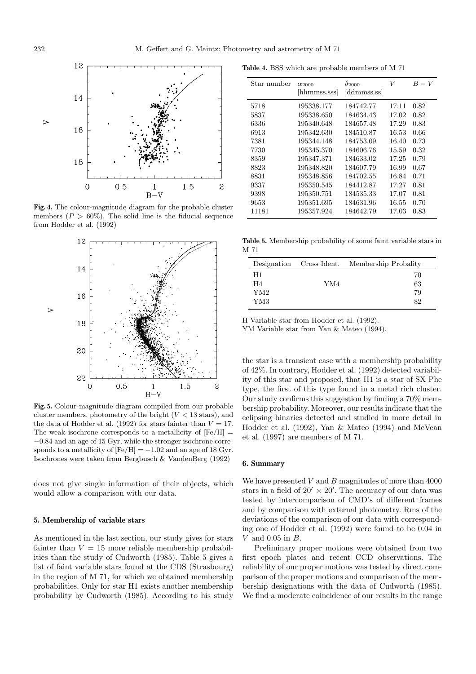

**Fig. 4.** The colour-magnitude diagram for the probable cluster members  $(P > 60\%)$ . The solid line is the fiducial sequence from Hodder et al. (1992)



**Fig. 5.** Colour-magnitude diagram compiled from our probable cluster members, photometry of the bright  $(V < 13$  stars), and the data of Hodder et al. (1992) for stars fainter than  $V = 17$ . The weak isochrone corresponds to a metallicity of  $[Fe/H] =$ −0.84 and an age of 15 Gyr, while the stronger isochrone corresponds to a metallicity of  $[Fe/H] = -1.02$  and an age of 18 Gyr. Isochrones were taken from Bergbusch & VandenBerg (1992)

does not give single information of their objects, which would allow a comparison with our data.

#### **5. Membership of variable stars**

As mentioned in the last section, our study gives for stars fainter than  $V = 15$  more reliable membership probabilities than the study of Cudworth (1985). Table 5 gives a list of faint variable stars found at the CDS (Strasbourg) in the region of M 71, for which we obtained membership probabilities. Only for star H1 exists another membership probability by Cudworth (1985). According to his study

**Table 4.** BSS which are probable members of M 71

| Star number | $\alpha_{2000}$<br>hhmmss.sss | $\delta_{2000}$<br>ddmmss.ss | V     | $B-V$ |
|-------------|-------------------------------|------------------------------|-------|-------|
| 5718        | 195338.177                    | 184742.77                    | 17.11 | 0.82  |
| 5837        | 195338.650                    | 184634.43                    | 17.02 | 0.82  |
| 6336        | 195340.648                    | 184657.48                    | 17.29 | 0.83  |
| 6913        | 195342.630                    | 184510.87                    | 16.53 | 0.66  |
| 7381        | 195344.148                    | 184753.09                    | 16.40 | 0.73  |
| 7730        | 195345.370                    | 184606.76                    | 15.59 | 0.32  |
| 8359        | 195347.371                    | 184633.02                    | 17.25 | 0.79  |
| 8823        | 195348.820                    | 184607.79                    | 16.99 | 0.67  |
| 8831        | 195348.856                    | 184702.55                    | 16.84 | 0.71  |
| 9337        | 195350.545                    | 184412.87                    | 17.27 | 0.81  |
| 9398        | 195350.751                    | 184535.33                    | 17.07 | 0.81  |
| 9653        | 195351.695                    | 184631.96                    | 16.55 | 0.70  |
| 11181       | 195357.924                    | 184642.79                    | 17.03 | 0.83  |

**Table 5.** Membership probability of some faint variable stars in M 71

|     | Designation Cross Ident. Membership Probality |
|-----|-----------------------------------------------|
|     | 70                                            |
| YM4 | 63                                            |
|     | 79                                            |
|     | 82                                            |
|     |                                               |

H Variable star from Hodder et al. (1992).

YM Variable star from Yan & Mateo (1994).

the star is a transient case with a membership probability of 42%. In contrary, Hodder et al. (1992) detected variability of this star and proposed, that H1 is a star of SX Phe type, the first of this type found in a metal rich cluster. Our study confirms this suggestion by finding a 70% membership probability. Moreover, our results indicate that the eclipsing binaries detected and studied in more detail in Hodder et al. (1992), Yan & Mateo (1994) and McVean et al. (1997) are members of M 71.

## **6. Summary**

We have presented  $V$  and  $B$  magnitudes of more than 4000 stars in a field of  $20' \times 20'$ . The accuracy of our data was tested by intercomparison of CMD's of different frames and by comparison with external photometry. Rms of the deviations of the comparison of our data with corresponding one of Hodder et al. (1992) were found to be 0.04 in  $V$  and 0.05 in  $B$ .

Preliminary proper motions were obtained from two first epoch plates and recent CCD observations. The reliability of our proper motions was tested by direct comparison of the proper motions and comparison of the membership designations with the data of Cudworth (1985). We find a moderate coincidence of our results in the range